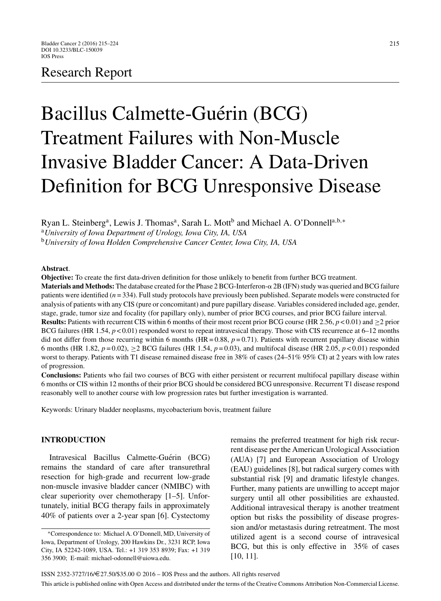# Research Report

# Bacillus Calmette-Guérin (BCG) Treatment Failures with Non-Muscle Invasive Bladder Cancer: A Data-Driven Definition for BCG Unresponsive Disease

Ryan L. Steinberg<sup>a</sup>, Lewis J. Thomas<sup>a</sup>, Sarah L. Mott<sup>b</sup> and Michael A. O'Donnell<sup>a,b,∗</sup>

<sup>a</sup>*University of Iowa Department of Urology, Iowa City, IA, USA*

<sup>b</sup>*University of Iowa Holden Comprehensive Cancer Center, Iowa City, IA, USA*

### **Abstract**.

**Objective:** To create the first data-driven definition for those unlikely to benefit from further BCG treatment.

**Materials and Methods:** The database created for the Phase 2 BCG-Interferon-α 2B (IFN) study was queried and BCG failure patients were identified ( $n = 334$ ). Full study protocols have previously been published. Separate models were constructed for analysis of patients with any CIS (pure or concomitant) and pure papillary disease. Variables considered included age, gender, stage, grade, tumor size and focality (for papillary only), number of prior BCG courses, and prior BCG failure interval.

**Results:** Patients with recurrent CIS within 6 months of their most recent prior BCG course (HR 2.56, *p* < 0.01) and ≥2 prior BCG failures (HR 1.54, *p* < 0.01) responded worst to repeat intravesical therapy. Those with CIS recurrence at 6–12 months did not differ from those recurring within 6 months (HR =  $0.88$ ,  $p = 0.71$ ). Patients with recurrent papillary disease within 6 months (HR 1.82,  $p = 0.02$ ),  $\geq 2$  BCG failures (HR 1.54,  $p = 0.03$ ), and multifocal disease (HR 2.05,  $p < 0.01$ ) responded worst to therapy. Patients with T1 disease remained disease free in 38% of cases (24–51% 95% CI) at 2 years with low rates of progression.

**Conclusions:** Patients who fail two courses of BCG with either persistent or recurrent multifocal papillary disease within 6 months or CIS within 12 months of their prior BCG should be considered BCG unresponsive. Recurrent T1 disease respond reasonably well to another course with low progression rates but further investigation is warranted.

Keywords: Urinary bladder neoplasms, mycobacterium bovis, treatment failure

# **INTRODUCTION**

Intravesical Bacillus Calmette-Guérin (BCG) remains the standard of care after transurethral resection for high-grade and recurrent low-grade non-muscle invasive bladder cancer (NMIBC) with clear superiority over chemotherapy [1–5]. Unfortunately, initial BCG therapy fails in approximately 40% of patients over a 2-year span [6]. Cystectomy remains the preferred treatment for high risk recurrent disease per the American Urological Association (AUA) [7] and European Association of Urology (EAU) guidelines [8], but radical surgery comes with substantial risk [9] and dramatic lifestyle changes. Further, many patients are unwilling to accept major surgery until all other possibilities are exhausted. Additional intravesical therapy is another treatment option but risks the possibility of disease progression and/or metastasis during retreatment. The most utilized agent is a second course of intravesical BCG, but this is only effective in 35% of cases [10, 11].

<sup>∗</sup>Correspondence to: Michael A. O'Donnell, MD, University of Iowa, Department of Urology, 200 Hawkins Dr., 3231 RCP, Iowa City, IA 52242-1089, USA. Tel.: +1 319 353 8939; Fax: +1 319 356 3900; E-mail: [michael-odonnell@uiowa.edu.](mailto:michael-odonnell@uiowa.edu)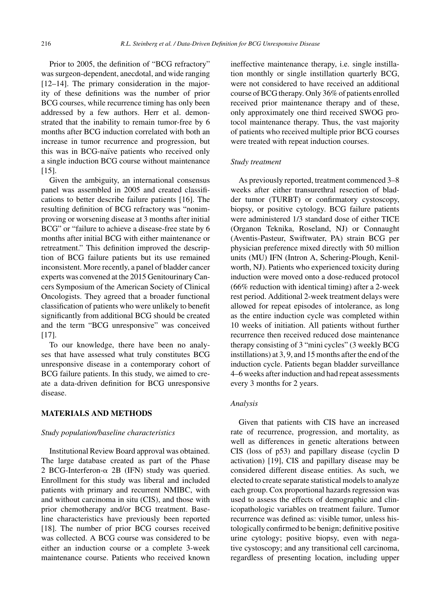Prior to 2005, the definition of "BCG refractory" was surgeon-dependent, anecdotal, and wide ranging [12–14]. The primary consideration in the majority of these definitions was the number of prior BCG courses, while recurrence timing has only been addressed by a few authors. Herr et al. demonstrated that the inability to remain tumor-free by 6 months after BCG induction correlated with both an increase in tumor recurrence and progression, but this was in BCG-naïve patients who received only a single induction BCG course without maintenance [15].

Given the ambiguity, an international consensus panel was assembled in 2005 and created classifications to better describe failure patients [16]. The resulting definition of BCG refractory was "nonimproving or worsening disease at 3 months after initial BCG" or "failure to achieve a disease-free state by 6 months after initial BCG with either maintenance or retreatment." This definition improved the description of BCG failure patients but its use remained inconsistent. More recently, a panel of bladder cancer experts was convened at the 2015 Genitourinary Cancers Symposium of the American Society of Clinical Oncologists. They agreed that a broader functional classification of patients who were unlikely to benefit significantly from additional BCG should be created and the term "BCG unresponsive" was conceived [17].

To our knowledge, there have been no analyses that have assessed what truly constitutes BCG unresponsive disease in a contemporary cohort of BCG failure patients. In this study, we aimed to create a data-driven definition for BCG unresponsive disease.

# **MATERIALS AND METHODS**

# *Study population/baseline characteristics*

Institutional Review Board approval was obtained. The large database created as part of the Phase  $2 BCG-Interferon- $\alpha$  2B (IFN) study was queried.$ Enrollment for this study was liberal and included patients with primary and recurrent NMIBC, with and without carcinoma in situ (CIS), and those with prior chemotherapy and/or BCG treatment. Baseline characteristics have previously been reported [18]. The number of prior BCG courses received was collected. A BCG course was considered to be either an induction course or a complete 3-week maintenance course. Patients who received known

ineffective maintenance therapy, i.e. single instillation monthly or single instillation quarterly BCG, were not considered to have received an additional course of BCG therapy. Only 36% of patients enrolled received prior maintenance therapy and of these, only approximately one third received SWOG protocol maintenance therapy. Thus, the vast majority of patients who received multiple prior BCG courses were treated with repeat induction courses.

#### *Study treatment*

As previously reported, treatment commenced 3–8 weeks after either transurethral resection of bladder tumor (TURBT) or confirmatory cystoscopy, biopsy, or positive cytology. BCG failure patients were administered 1/3 standard dose of either TICE (Organon Teknika, Roseland, NJ) or Connaught (Aventis-Pasteur, Swiftwater, PA) strain BCG per physician preference mixed directly with 50 million units (MU) IFN (Intron A, Schering-Plough, Kenilworth, NJ). Patients who experienced toxicity during induction were moved onto a dose-reduced protocol (66% reduction with identical timing) after a 2-week rest period. Additional 2-week treatment delays were allowed for repeat episodes of intolerance, as long as the entire induction cycle was completed within 10 weeks of initiation. All patients without further recurrence then received reduced dose maintenance therapy consisting of 3 "mini cycles" (3 weekly BCG instillations) at 3, 9, and 15 months after the end of the induction cycle. Patients began bladder surveillance 4–6 weeks after induction and had repeat assessments every 3 months for 2 years.

# *Analysis*

Given that patients with CIS have an increased rate of recurrence, progression, and mortality, as well as differences in genetic alterations between CIS (loss of p53) and papillary disease (cyclin D activation) [19], CIS and papillary disease may be considered different disease entities. As such, we elected to create separate statistical models to analyze each group. Cox proportional hazards regression was used to assess the effects of demographic and clinicopathologic variables on treatment failure. Tumor recurrence was defined as: visible tumor, unless histologically confirmed to be benign; definitive positive urine cytology; positive biopsy, even with negative cystoscopy; and any transitional cell carcinoma, regardless of presenting location, including upper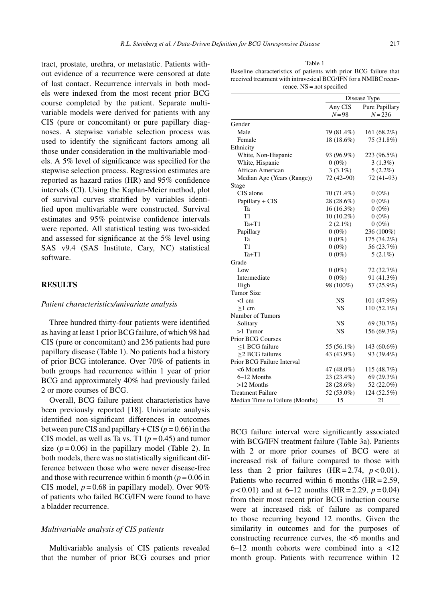tract, prostate, urethra, or metastatic. Patients without evidence of a recurrence were censored at date of last contact. Recurrence intervals in both models were indexed from the most recent prior BCG course completed by the patient. Separate multivariable models were derived for patients with any CIS (pure or concomitant) or pure papillary diagnoses. A stepwise variable selection process was used to identify the significant factors among all those under consideration in the multivariable models. A 5% level of significance was specified for the stepwise selection process. Regression estimates are reported as hazard ratios (HR) and 95% confidence intervals (CI). Using the Kaplan-Meier method, plot of survival curves stratified by variables identified upon multivariable were constructed. Survival estimates and 95% pointwise confidence intervals were reported. All statistical testing was two-sided and assessed for significance at the 5% level using SAS v9.4 (SAS Institute, Cary, NC) statistical software.

# **RESULTS**

#### *Patient characteristics/univariate analysis*

Three hundred thirty-four patients were identified as having at least 1 prior BCG failure, of which 98 had CIS (pure or concomitant) and 236 patients had pure papillary disease (Table 1). No patients had a history of prior BCG intolerance. Over 70% of patients in both groups had recurrence within 1 year of prior BCG and approximately 40% had previously failed 2 or more courses of BCG.

Overall, BCG failure patient characteristics have been previously reported [18]. Univariate analysis identified non-significant differences in outcomes between pure CIS and papillary  $+$  CIS ( $p = 0.66$ ) in the CIS model, as well as Ta vs. T1 ( $p = 0.45$ ) and tumor size  $(p=0.06)$  in the papillary model (Table 2). In both models, there was no statistically significant difference between those who were never disease-free and those with recurrence within 6 month ( $p = 0.06$  in CIS model,  $p = 0.68$  in papillary model). Over 90% of patients who failed BCG/IFN were found to have a bladder recurrence.

# *Multivariable analysis of CIS patients*

Multivariable analysis of CIS patients revealed that the number of prior BCG courses and prior

| Table 1                                                          |
|------------------------------------------------------------------|
| Baseline characteristics of patients with prior BCG failure that |
| received treatment with intravesical BCG/IFN for a NMIBC recur-  |
| rence. $NS = not specified$                                      |

|                                 | Disease Type |                |  |  |
|---------------------------------|--------------|----------------|--|--|
|                                 | Any CIS      | Pure Papillary |  |  |
|                                 | $N = 98$     | $N = 236$      |  |  |
| Gender                          |              |                |  |  |
| Male                            | 79 (81.4%)   | 161 (68.2%)    |  |  |
| Female                          | 18 (18.6%)   | 75 (31.8%)     |  |  |
| Ethnicity                       |              |                |  |  |
| White, Non-Hispanic             | 93 (96.9%)   | 223 (96.5%)    |  |  |
| White, Hispanic                 | $0(0\%)$     | $3(1.3\%)$     |  |  |
| African American                | $3(3.1\%)$   | $5(2.2\%)$     |  |  |
| Median Age (Years (Range))      | 72 (42-90)   | $72(41-93)$    |  |  |
| Stage                           |              |                |  |  |
| CIS alone                       | 70 (71.4%)   | $0(0\%)$       |  |  |
| Papillary + CIS                 | 28 (28.6%)   | $0(0\%)$       |  |  |
| Ta                              | 16 (16.3%)   | $0(0\%)$       |  |  |
| T1                              | 10 (10.2%)   | $0(0\%)$       |  |  |
| Ta+T1                           | $2(2.1\%)$   | $0(0\%)$       |  |  |
| Papillary                       | $0(0\%)$     | 236 (100%)     |  |  |
| Ta                              | $0(0\%)$     | 175 (74.2%)    |  |  |
| T1                              | $0(0\%)$     | 56 (23.7%)     |  |  |
| $Ta+T1$                         | $0(0\%)$     | $5(2.1\%)$     |  |  |
| Grade                           |              |                |  |  |
| Low                             | $0(0\%)$     | 72 (32.7%)     |  |  |
| Intermediate                    | $0(0\%)$     | 91 (41.3%)     |  |  |
| High                            | 98 (100%)    | 57 (25.9%)     |  |  |
| <b>Tumor Size</b>               |              |                |  |  |
| <1 cm                           | NS           | 101 (47.9%)    |  |  |
| $>1$ cm                         | NS           | 110 (52.1%)    |  |  |
| Number of Tumors                |              |                |  |  |
| Solitary                        | NS           | 69 (30.7%)     |  |  |
| $>1$ Tumor                      | <b>NS</b>    | 156 (69.3%)    |  |  |
| <b>Prior BCG Courses</b>        |              |                |  |  |
| <1 BCG failure                  | 55 (56.1%)   | 143 (60.6%)    |  |  |
| >2 BCG failures                 | 43 (43.9%)   | 93 (39.4%)     |  |  |
| Prior BCG Failure Interval      |              |                |  |  |
| <6 Months                       | 47 (48.0%)   | 115 (48.7%)    |  |  |
| 6–12 Months                     | 23 (23.4%)   | 69 (29.3%)     |  |  |
| $>12$ Months                    | 28 (28.6%)   | 52 (22.0%)     |  |  |
| <b>Treatment Failure</b>        | 52 (53.0%)   | 124 (52.5%)    |  |  |
| Median Time to Failure (Months) | 15           | 21             |  |  |

BCG failure interval were significantly associated with BCG/IFN treatment failure (Table 3a). Patients with 2 or more prior courses of BCG were at increased risk of failure compared to those with less than 2 prior failures  $(HR = 2.74, p < 0.01)$ . Patients who recurred within 6 months  $(HR = 2.59$ ,  $p < 0.01$ ) and at 6–12 months (HR = 2.29,  $p = 0.04$ ) from their most recent prior BCG induction course were at increased risk of failure as compared to those recurring beyond 12 months. Given the similarity in outcomes and for the purposes of constructing recurrence curves, the <6 months and 6–12 month cohorts were combined into a <12 month group. Patients with recurrence within 12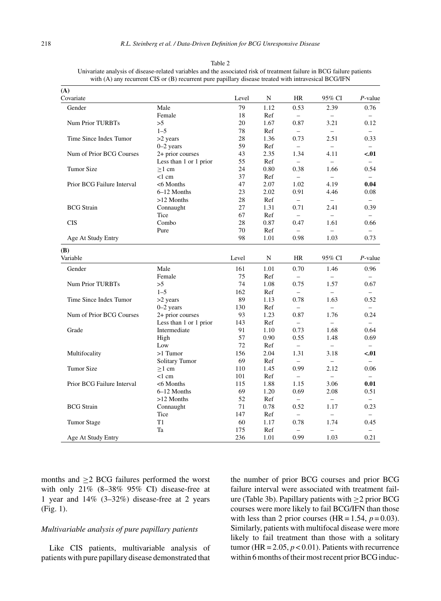| (A)                        |                        |       |      |                          |                          |                          |
|----------------------------|------------------------|-------|------|--------------------------|--------------------------|--------------------------|
| Covariate                  |                        | Level | N    | <b>HR</b>                | 95% CI                   | $P$ -value               |
| Gender                     | Male                   | 79    | 1.12 | 0.53                     | 2.39                     | 0.76                     |
|                            | Female                 | 18    | Ref  | $\overline{\phantom{0}}$ | $\overline{\phantom{0}}$ | $\overline{\phantom{0}}$ |
| <b>Num Prior TURBTs</b>    | >5                     | 20    | 1.67 | 0.87                     | 3.21                     | 0.12                     |
|                            | $1 - 5$                | 78    | Ref  | $\overline{\phantom{0}}$ | $\overline{a}$           |                          |
| Time Since Index Tumor     | >2 years               | 28    | 1.36 | 0.73                     | 2.51                     | 0.33                     |
|                            | $0-2$ years            | 59    | Ref  | $\overline{\phantom{0}}$ | $\equiv$                 |                          |
| Num of Prior BCG Courses   | 2+ prior courses       | 43    | 2.35 | 1.34                     | 4.11                     | < 01                     |
|                            | Less than 1 or 1 prior | 55    | Ref  | $-$                      | $\overline{a}$           | $\overline{\phantom{0}}$ |
| <b>Tumor Size</b>          | $>1$ cm                | 24    | 0.80 | 0.38                     | 1.66                     | 0.54                     |
|                            | < 1 cm                 | 37    | Ref  | $\equiv$                 |                          |                          |
| Prior BCG Failure Interval | <6 Months              | 47    | 2.07 | 1.02                     | 4.19                     | 0.04                     |
|                            | 6-12 Months            | 23    | 2.02 | 0.91                     | 4.46                     | 0.08                     |
|                            | >12 Months             | 28    | Ref  | $\overline{\phantom{0}}$ | $\equiv$                 | $\overline{\phantom{0}}$ |
| <b>BCG</b> Strain          | Connaught              | 27    | 1.31 | 0.71                     | 2.41                     | 0.39                     |
|                            | Tice                   | 67    | Ref  | $\equiv$                 | $\overline{a}$           |                          |
| <b>CIS</b>                 | Combo                  | 28    | 0.87 | 0.47                     | 1.61                     | 0.66                     |
|                            | Pure                   | 70    | Ref  | $\overline{a}$           | $\overline{a}$           | $\overline{\phantom{0}}$ |
| Age At Study Entry         |                        | 98    | 1.01 | 0.98                     | 1.03                     | 0.73                     |
| (B)                        |                        |       |      |                          |                          |                          |
| Variable                   |                        | Level | N    | HR                       | 95% CI                   | $P$ -value               |
| Gender                     | Male                   | 161   | 1.01 | 0.70                     | 1.46                     | 0.96                     |
|                            | Female                 | 75    | Ref  | $\overline{\phantom{0}}$ | $\overline{\phantom{0}}$ |                          |
| <b>Num Prior TURBTs</b>    | >5                     | 74    | 1.08 | 0.75                     | 1.57                     | 0.67                     |
|                            | $1 - 5$                | 162   | Ref  | $\overline{\phantom{0}}$ | $\overline{\phantom{0}}$ |                          |
| Time Since Index Tumor     | >2 years               | 89    | 1.13 | 0.78                     | 1.63                     | 0.52                     |
|                            | $0-2$ years            | 130   | Ref  | $\overline{\phantom{0}}$ | $\equiv$                 |                          |
| Num of Prior BCG Courses   | 2+ prior courses       | 93    | 1.23 | 0.87                     | 1.76                     | 0.24                     |
|                            | Less than 1 or 1 prior | 143   | Ref  | $\overline{\phantom{0}}$ | $\overline{\phantom{0}}$ | $\overline{\phantom{0}}$ |
| Grade                      | Intermediate           | 91    | 1.10 | 0.73                     | 1.68                     | 0.64                     |
|                            | High                   | 57    | 0.90 | 0.55                     | 1.48                     | 0.69                     |
|                            | Low                    | 72    | Ref  | $-$                      | $-$                      | $\overline{\phantom{0}}$ |
| Multifocality              | $>1$ Tumor             | 156   | 2.04 | 1.31                     | 3.18                     | < 01                     |
|                            | <b>Solitary Tumor</b>  | 69    | Ref  | $\overline{\phantom{0}}$ | $\equiv$                 | $-$                      |
| <b>Tumor Size</b>          | $>1$ cm                | 110   | 1.45 | 0.99                     | 2.12                     | 0.06                     |
|                            | $<$ 1 cm               | 101   | Ref  | $\overline{\phantom{0}}$ | $\overline{a}$           | $\overline{a}$           |
| Prior BCG Failure Interval | <6 Months              | 115   | 1.88 | 1.15                     | 3.06                     | 0.01                     |
|                            | 6-12 Months            | 69    | 1.20 | 0.69                     | 2.08                     | 0.51                     |
|                            | $>12$ Months           | 52    | Ref  | $-$                      | $\overline{\phantom{0}}$ | $\overline{\phantom{0}}$ |
| <b>BCG</b> Strain          | Connaught              | 71    | 0.78 | 0.52                     | 1.17                     | 0.23                     |
|                            | Tice                   | 147   | Ref  | $\overline{\phantom{0}}$ | $\overline{a}$           |                          |
| <b>Tumor Stage</b>         | T1                     | 60    | 1.17 | 0.78                     | 1.74                     | 0.45                     |
|                            | Ta                     | 175   | Ref  | $\overline{\phantom{0}}$ | $\overline{\phantom{0}}$ |                          |
| Age At Study Entry         |                        | 236   | 1.01 | 0.99                     | 1.03                     | 0.21                     |

Table 2 Univariate analysis of disease-related variables and the associated risk of treatment failure in BCG failure patients with (A) any recurrent CIS or (B) recurrent pure papillary disease treated with intravesical BCG/IFN

months and  $\geq$ 2 BCG failures performed the worst with only 21% (8–38% 95% CI) disease-free at 1 year and 14% (3–32%) disease-free at 2 years (Fig. 1).

## *Multivariable analysis of pure papillary patients*

Like CIS patients, multivariable analysis of patients with pure papillary disease demonstrated that

the number of prior BCG courses and prior BCG failure interval were associated with treatment failure (Table 3b). Papillary patients with  $\geq$  2 prior BCG courses were more likely to fail BCG/IFN than those with less than 2 prior courses (HR =  $1.54$ ,  $p = 0.03$ ). Similarly, patients with multifocal disease were more likely to fail treatment than those with a solitary tumor (HR =  $2.05, p < 0.01$ ). Patients with recurrence within 6 months of their most recent prior BCG induc-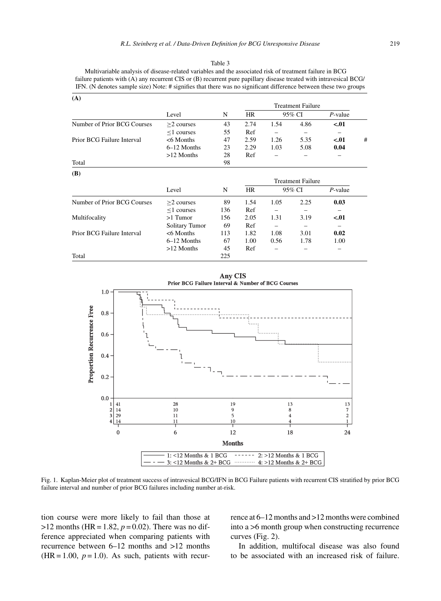#### Table 3

Multivariable analysis of disease-related variables and the associated risk of treatment failure in BCG failure patients with (A) any recurrent CIS or (B) recurrent pure papillary disease treated with intravesical BCG/ IFN. (N denotes sample size) Note: # signifies that there was no significant difference between these two groups

| (A)                         |                  |     |                          |        |      |            |   |
|-----------------------------|------------------|-----|--------------------------|--------|------|------------|---|
|                             |                  |     | <b>Treatment Failure</b> |        |      |            |   |
|                             | Level            | N   | HR                       | 95% CI |      | $P$ -value |   |
| Number of Prior BCG Courses | $>$ 2 courses    | 43  | 2.74                     | 1.54   | 4.86 | $-.01$     |   |
|                             | $\leq$ 1 courses | 55  | Ref                      |        |      |            |   |
| Prior BCG Failure Interval  | $< 6$ Months     | 47  | 2.59                     | 1.26   | 5.35 | $-.01$     | # |
|                             | 6–12 Months      | 23  | 2.29                     | 1.03   | 5.08 | 0.04       |   |
|                             | $>12$ Months     | 28  | Ref                      |        |      |            |   |
| Total                       |                  | 98  |                          |        |      |            |   |
| <b>(B)</b>                  |                  |     |                          |        |      |            |   |
|                             |                  |     | <b>Treatment Failure</b> |        |      |            |   |
|                             | Level            | N   | HR                       | 95% CI |      | $P$ -value |   |
| Number of Prior BCG Courses | $>2$ courses     | 89  | 1.54                     | 1.05   | 2.25 | 0.03       |   |
|                             | $\leq$ 1 courses | 136 | Ref                      |        |      |            |   |
| Multifocality               | $>1$ Tumor       | 156 | 2.05                     | 1.31   | 3.19 | $-.01$     |   |
|                             | Solitary Tumor   | 69  | Ref                      |        |      |            |   |
| Prior BCG Failure Interval  | $< 6$ Months     | 113 | 1.82                     | 1.08   | 3.01 | 0.02       |   |
|                             | 6–12 Months      | 67  | 1.00                     | 0.56   | 1.78 | 1.00       |   |
|                             | $>12$ Months     | 45  | Ref                      |        |      |            |   |
| Total                       |                  | 225 |                          |        |      |            |   |



Fig. 1. Kaplan-Meier plot of treatment success of intravesical BCG/IFN in BCG Failure patients with recurrent CIS stratified by prior BCG failure interval and number of prior BCG failures including number at-risk.

tion course were more likely to fail than those at  $>12$  months (HR = 1.82,  $p = 0.02$ ). There was no difference appreciated when comparing patients with recurrence between 6–12 months and >12 months  $(HR = 1.00, p = 1.0)$ . As such, patients with recurrence at 6–12 months and >12 months were combined into a >6 month group when constructing recurrence curves (Fig. 2).

In addition, multifocal disease was also found to be associated with an increased risk of failure.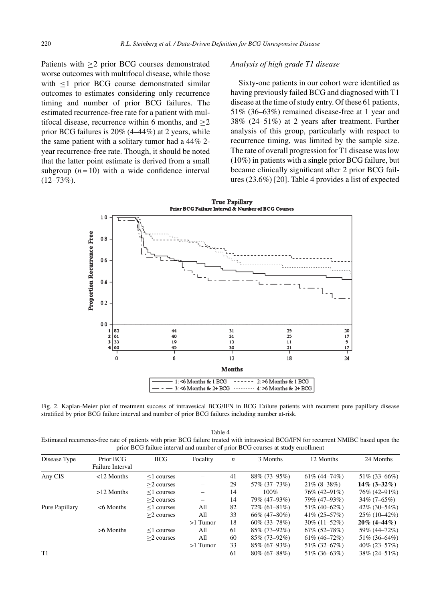Patients with ≥2 prior BCG courses demonstrated worse outcomes with multifocal disease, while those with <1 prior BCG course demonstrated similar outcomes to estimates considering only recurrence timing and number of prior BCG failures. The estimated recurrence-free rate for a patient with multifocal disease, recurrence within 6 months, and  $\geq$ 2 prior BCG failures is 20% (4–44%) at 2 years, while the same patient with a solitary tumor had a 44% 2 year recurrence-free rate. Though, it should be noted that the latter point estimate is derived from a small subgroup  $(n = 10)$  with a wide confidence interval  $(12-73\%)$ .

# *Analysis of high grade T1 disease*

Sixty-one patients in our cohort were identified as having previously failed BCG and diagnosed with T1 disease at the time of study entry. Of these 61 patients, 51% (36–63%) remained disease-free at 1 year and 38% (24–51%) at 2 years after treatment. Further analysis of this group, particularly with respect to recurrence timing, was limited by the sample size. The rate of overall progression for T1 disease was low (10%) in patients with a single prior BCG failure, but became clinically significant after 2 prior BCG failures (23.6%) [20]. Table 4 provides a list of expected



Fig. 2. Kaplan-Meier plot of treatment success of intravesical BCG/IFN in BCG Failure patients with recurrent pure papillary disease stratified by prior BCG failure interval and number of prior BCG failures including number at-risk.

Table 4 Estimated recurrence-free rate of patients with prior BCG failure treated with intravesical BCG/IFN for recurrent NMIBC based upon the prior BCG failure interval and number of prior BCG courses at study enrollment

| Disease Type   | Prior BCG               | <b>BCG</b>       | Focality   | n  | 3 Months        | 12 Months          | 24 Months          |
|----------------|-------------------------|------------------|------------|----|-----------------|--------------------|--------------------|
|                | <b>Failure Interval</b> |                  |            |    |                 |                    |                    |
| Any CIS        | $<$ 12 Months           | $\leq$ 1 courses |            | 41 | 88% (73–95%)    | $61\% (44 - 74\%)$ | $51\%$ (33–66%)    |
|                |                         | $>2$ courses     |            | 29 | 57% (37–73%)    | $21\% (8-38\%)$    | $14\%$ (3–32%)     |
|                | $>12$ Months            | $\leq$ 1 courses |            | 14 | $100\%$         | 76% (42–91%)       | 76% (42–91%)       |
|                |                         | $>2$ courses     |            | 14 | 79% (47–93%)    | 79% (47–93%)       | $34\% (7 - 65\%)$  |
| Pure Papillary | $< 6$ Months            | $\leq$ 1 courses | All        | 82 | $72\%$ (61–81%) | 51% (40-62%)       | $42\%$ (30–54%)    |
|                |                         | $>2$ courses     | All        | 33 | $66\%$ (47–80%) | $41\% (25 - 57\%)$ | 25% (10-42%)       |
|                |                         |                  | $>1$ Tumor | 18 | $60\%$ (33–78%) | $30\%$ (11-52%)    | $20\%$ (4–44%)     |
|                | $>6$ Months             | $\leq$ 1 courses | All        | 61 | 85% (73–92%)    | $67\%$ $(52-78\%)$ | 59% (44-72%)       |
|                |                         | $>2$ courses     | All        | 60 | $85\%$ (73–92%) | $61\% (46 - 72\%)$ | 51% (36-64%)       |
|                |                         |                  | $>1$ Tumor | 33 | $85\%$ (67–93%) | 51% (32-67%)       | $40\% (23 - 57\%)$ |
| T1             |                         |                  |            | 61 | $80\%$ (67–88%) | 51\% (36-63\%)     | 38% (24–51%)       |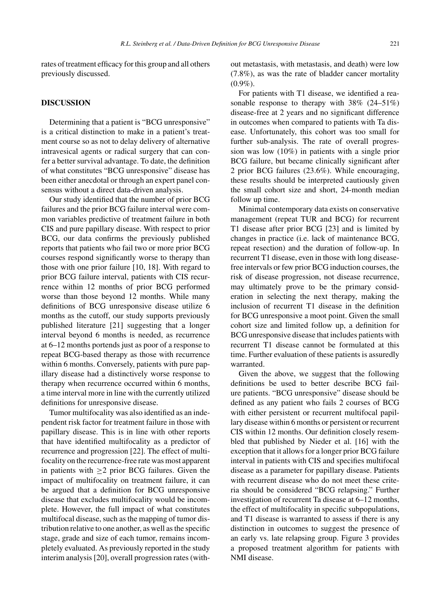rates of treatment efficacy for this group and all others previously discussed.

# **DISCUSSION**

Determining that a patient is "BCG unresponsive" is a critical distinction to make in a patient's treatment course so as not to delay delivery of alternative intravesical agents or radical surgery that can confer a better survival advantage. To date, the definition of what constitutes "BCG unresponsive" disease has been either anecdotal or through an expert panel consensus without a direct data-driven analysis.

Our study identified that the number of prior BCG failures and the prior BCG failure interval were common variables predictive of treatment failure in both CIS and pure papillary disease. With respect to prior BCG, our data confirms the previously published reports that patients who fail two or more prior BCG courses respond significantly worse to therapy than those with one prior failure [10, 18]. With regard to prior BCG failure interval, patients with CIS recurrence within 12 months of prior BCG performed worse than those beyond 12 months. While many definitions of BCG unresponsive disease utilize 6 months as the cutoff, our study supports previously published literature [21] suggesting that a longer interval beyond 6 months is needed, as recurrence at 6–12 months portends just as poor of a response to repeat BCG-based therapy as those with recurrence within 6 months. Conversely, patients with pure papillary disease had a distinctively worse response to therapy when recurrence occurred within 6 months, a time interval more in line with the currently utilized definitions for unresponsive disease.

Tumor multifocality was also identified as an independent risk factor for treatment failure in those with papillary disease. This is in line with other reports that have identified multifocality as a predictor of recurrence and progression [22]. The effect of multifocality on the recurrence-free rate was most apparent in patients with  $\geq 2$  prior BCG failures. Given the impact of multifocality on treatment failure, it can be argued that a definition for BCG unresponsive disease that excludes multifocality would be incomplete. However, the full impact of what constitutes multifocal disease, such as the mapping of tumor distribution relative to one another, as well as the specific stage, grade and size of each tumor, remains incompletely evaluated. As previously reported in the study interim analysis [20], overall progression rates (without metastasis, with metastasis, and death) were low (7.8%), as was the rate of bladder cancer mortality  $(0.9\%).$ 

For patients with T1 disease, we identified a reasonable response to therapy with 38% (24–51%) disease-free at 2 years and no significant difference in outcomes when compared to patients with Ta disease. Unfortunately, this cohort was too small for further sub-analysis. The rate of overall progression was low (10%) in patients with a single prior BCG failure, but became clinically significant after 2 prior BCG failures (23.6%). While encouraging, these results should be interpreted cautiously given the small cohort size and short, 24-month median follow up time.

Minimal contemporary data exists on conservative management (repeat TUR and BCG) for recurrent T1 disease after prior BCG [23] and is limited by changes in practice (i.e. lack of maintenance BCG, repeat resection) and the duration of follow-up. In recurrent T1 disease, even in those with long diseasefree intervals or few prior BCG induction courses, the risk of disease progression, not disease recurrence, may ultimately prove to be the primary consideration in selecting the next therapy, making the inclusion of recurrent T1 disease in the definition for BCG unresponsive a moot point. Given the small cohort size and limited follow up, a definition for BCG unresponsive disease that includes patients with recurrent T1 disease cannot be formulated at this time. Further evaluation of these patients is assuredly warranted.

Given the above, we suggest that the following definitions be used to better describe BCG failure patients. "BCG unresponsive" disease should be defined as any patient who fails 2 courses of BCG with either persistent or recurrent multifocal papillary disease within 6 months or persistent or recurrent CIS within 12 months. Our definition closely resembled that published by Nieder et al. [16] with the exception that it allows for a longer prior BCG failure interval in patients with CIS and specifies multifocal disease as a parameter for papillary disease. Patients with recurrent disease who do not meet these criteria should be considered "BCG relapsing." Further investigation of recurrent Ta disease at 6–12 months, the effect of multifocality in specific subpopulations, and T1 disease is warranted to assess if there is any distinction in outcomes to suggest the presence of an early vs. late relapsing group. Figure 3 provides a proposed treatment algorithm for patients with NMI disease.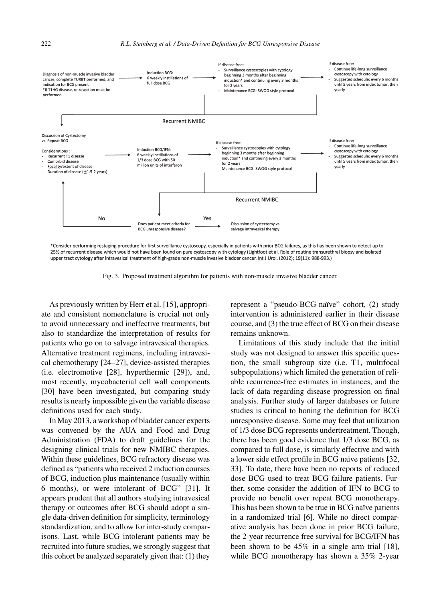

\*Consider performing restaging procedure for first surveillance cystoscopy, especially in patients with prior BCG failures, as this has been shown to detect up to 25% of recurrent disease which would not have been found on pure cystoscopy with cytology (Lightfoot et al. Role of routine transurethral biopsy and isolated upper tract cytology after intravesical treatment of high-grade non-muscle invasive bladder cancer. Int J Urol. (2012); 19(11): 988-993.)

Fig. 3. Proposed treatment algorithm for patients with non-muscle invasive bladder cancer.

As previously written by Herr et al. [15], appropriate and consistent nomenclature is crucial not only to avoid unnecessary and ineffective treatments, but also to standardize the interpretation of results for patients who go on to salvage intravesical therapies. Alternative treatment regimens, including intravesical chemotherapy [24–27], device-assisted therapies (i.e. electromotive [28], hyperthermic [29]), and, most recently, mycobacterial cell wall components [30] have been investigated, but comparing study results is nearly impossible given the variable disease definitions used for each study.

In May 2013, a workshop of bladder cancer experts was convened by the AUA and Food and Drug Administration (FDA) to draft guidelines for the designing clinical trials for new NMIBC therapies. Within these guidelines, BCG refractory disease was defined as "patients who received 2 induction courses of BCG, induction plus maintenance (usually within 6 months), or were intolerant of BCG" [31]. It appears prudent that all authors studying intravesical therapy or outcomes after BCG should adopt a single data-driven definition for simplicity, terminology standardization, and to allow for inter-study comparisons. Last, while BCG intolerant patients may be recruited into future studies, we strongly suggest that this cohort be analyzed separately given that: (1) they

represent a "pseudo-BCG-naïve" cohort, (2) study intervention is administered earlier in their disease course, and (3) the true effect of BCG on their disease remains unknown.

Limitations of this study include that the initial study was not designed to answer this specific question, the small subgroup size (i.e. T1, multifocal subpopulations) which limited the generation of reliable recurrence-free estimates in instances, and the lack of data regarding disease progression on final analysis. Further study of larger databases or future studies is critical to honing the definition for BCG unresponsive disease. Some may feel that utilization of 1/3 dose BCG represents undertreatment. Though, there has been good evidence that 1/3 dose BCG, as compared to full dose, is similarly effective and with a lower side effect profile in BCG naïve patients [32, 33]. To date, there have been no reports of reduced dose BCG used to treat BCG failure patients. Further, some consider the addition of IFN to BCG to provide no benefit over repeat BCG monotherapy. This has been shown to be true in BCG naïve patients in a randomized trial [6]. While no direct comparative analysis has been done in prior BCG failure, the 2-year recurrence free survival for BCG/IFN has been shown to be 45% in a single arm trial [18], while BCG monotherapy has shown a 35% 2-year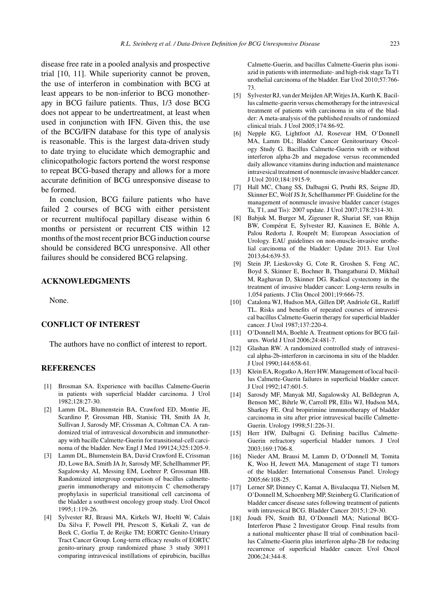disease free rate in a pooled analysis and prospective trial [10, 11]. While superiority cannot be proven, the use of interferon in combination with BCG at least appears to be non-inferior to BCG monotherapy in BCG failure patients. Thus, 1/3 dose BCG does not appear to be undertreatment, at least when used in conjunction with IFN. Given this, the use of the BCG/IFN database for this type of analysis is reasonable. This is the largest data-driven study to date trying to elucidate which demographic and clinicopathologic factors portend the worst response to repeat BCG-based therapy and allows for a more accurate definition of BCG unresponsive disease to be formed.

In conclusion, BCG failure patients who have failed 2 courses of BCG with either persistent or recurrent multifocal papillary disease within 6 months or persistent or recurrent CIS within 12 months of the most recent prior BCG induction course should be considered BCG unresponsive. All other failures should be considered BCG relapsing.

# **ACKNOWLEDGMENTS**

None.

# **CONFLICT OF INTEREST**

The authors have no conflict of interest to report.

# **REFERENCES**

- [1] Brosman SA. Experience with bacillus Calmette-Guerin in patients with superficial bladder carcinoma. J Urol 1982;128:27-30.
- [2] Lamm DL, Blumenstein BA, Crawford ED, Montie JE, Scardino P, Grossman HB, Stanisic TH, Smith JA Jr, Sullivan J, Sarosdy MF, Crissman A, Coltman CA. A randomized trial of intravesical doxorubicin and immunotherapy with bacille Calmette-Guerin for transitional-cell carcinoma of the bladder. New Engl J Med 199124;325:1205-9.
- [3] Lamm DL, Blumenstein BA, David Crawford E, Crissman JD, Lowe BA, Smith JA Jr, Sarosdy MF, Schellhammer PF, Sagalowsky AI, Messing EM, Loehrer P, Grossman HB. Randomized intergroup comparison of bacillus calmetteguerin immunotherapy and mitomycin C chemotherapy prophylaxis in superficial transitional cell carcinoma of the bladder a southwest oncology group study. Urol Oncol 1995;1:119-26.
- [4] Sylvester RJ, Brausi MA, Kirkels WJ, Hoeltl W, Calais Da Silva F, Powell PH, Prescott S, Kirkali Z, van de Beek C, Gorlia T, de Reijke TM; EORTC Genito-Urinary Tract Cancer Group. Long-term efficacy results of EORTC genito-urinary group randomized phase 3 study 30911 comparing intravesical instillations of epirubicin, bacillus

Calmette-Guerin, and bacillus Calmette-Guerin plus isoniazid in patients with intermediate- and high-risk stage Ta T1 urothelial carcinoma of the bladder. Eur Urol 2010;57:766- 73.

- [5] Sylvester RJ, van der Meijden AP, Witjes JA, Kurth K. Bacillus calmette-guerin versus chemotherapy for the intravesical treatment of patients with carcinoma in situ of the bladder: A meta-analysis of the published results of randomized clinical trials. J Urol 2005;174:86-92.
- [6] Nepple KG, Lightfoot AJ, Rosevear HM, O'Donnell MA, Lamm DL; Bladder Cancer Genitourinary Oncology Study G. Bacillus Calmette-Guerin with or without interferon alpha-2b and megadose versus recommended daily allowance vitamins during induction and maintenance intravesical treatment of nonmuscle invasive bladder cancer. J Urol 2010;184:1915-9.
- [7] Hall MC, Chang SS, Dalbagni G, Pruthi RS, Seigne JD, Skinner EC, Wolf JS Jr, Schellhammer PF. Guideline for the management of nonmuscle invasive bladder cancer (stages Ta, T1, and Tis): 2007 update. J Urol 2007;178:2314-30.
- [8] Babjuk M, Burger M, Zigeuner R, Shariat SF, van Rhijn BW, Compérat E, Sylvester RJ, Kaasinen E, Böhle A, Palou Redorta J, Rouprêt M; European Association of Urology. EAU guidelines on non-muscle-invasive urothelial carcinoma of the bladder: Update 2013. Eur Urol 2013;64:639-53.
- [9] Stein JP, Lieskovsky G, Cote R, Groshen S, Feng AC, Boyd S, Skinner E, Bochner B, Thangathurai D, Mikhail M, Raghavan D, Skinner DG. Radical cystectomy in the treatment of invasive bladder cancer: Long-term results in 1,054 patients. J Clin Oncol 2001;19:666-75.
- [10] Catalona WJ, Hudson MA, Gillen DP, Andriole GL, Ratliff TL. Risks and benefits of repeated courses of intravesical bacillus Calmette-Guerin therapy for superficial bladder cancer. J Urol 1987;137:220-4.
- [11] O'Donnell MA, Boehle A. Treatment options for BCG failures. World J Urol 2006;24:481-7.
- [12] Glashan RW. A randomized controlled study of intravesical alpha-2b-interferon in carcinoma in situ of the bladder. J Urol 1990;144:658-61.
- [13] Klein EA, Rogatko A, Herr HW. Management of local bacillus Calmette-Guerin failures in superficial bladder cancer. J Urol 1992;147:601-5.
- [14] Sarosdy MF, Manyak MJ, Sagalowsky AI, Belldegrun A, Benson MC, Bihrle W, Carroll PR, Ellis WJ, Hudson MA, Sharkey FE. Oral bropirimine immunotherapy of bladder carcinoma in situ after prior intravesical bacille Calmette-Guerin. Urology 1998;51:226-31.
- [15] Herr HW, Dalbagni G. Defining bacillus Calmette-Guerin refractory superficial bladder tumors. J Urol 2003;169:1706-8.
- [16] Nieder AM, Brausi M, Lamm D, O'Donnell M, Tomita K, Woo H, Jewett MA. Management of stage T1 tumors of the bladder: International Consensus Panel. Urology 2005;66:108-25.
- [17] Lerner SP, Dinney C, Kamat A, Bivalacqua TJ, Nielsen M, O'Donnell M, Schoenberg MP, Steinberg G. Clarification of bladder cancer disease sates following treatment of patients with intravesical BCG. Bladder Cancer 2015;1:29-30.
- [18] Joudi FN, Smith BJ, O'Donnell MA; National BCG-Interferon Phase 2 Investigator Group. Final results from a national multicenter phase II trial of combination bacillus Calmette-Guerin plus interferon alpha-2B for reducing recurrence of superficial bladder cancer. Urol Oncol 2006;24:344-8.